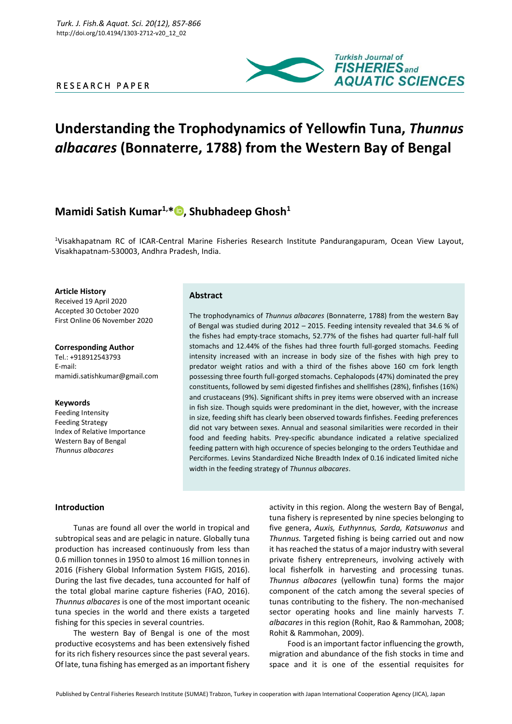# R E S E A R C H P A P E R



# **Understanding the Trophodynamics of Yellowfin Tuna,** *Thunnus albacares* **(Bonnaterre, 1788) from the Western Bay of Bengal**

# **Mamidi Satish Kumar1,\* [,](http://orcid.org/0000-0002-9396-0769) Shubhadeep Ghosh<sup>1</sup>**

<sup>1</sup>Visakhapatnam RC of ICAR-Central Marine Fisheries Research Institute Pandurangapuram, Ocean View Layout, Visakhapatnam-530003, Andhra Pradesh, India.

**Article History** Received 19 April 2020 Accepted 30 October 2020 First Online 06 November 2020

**Corresponding Author** Tel.: +918912543793 E-mail: mamidi.satishkumar@gmail.com

#### **Keywords**

Feeding Intensity Feeding Strategy Index of Relative Importance Western Bay of Bengal *Thunnus albacares*

# **Abstract**

The trophodynamics of *Thunnus albacares* (Bonnaterre, 1788) from the western Bay of Bengal was studied during 2012 – 2015. Feeding intensity revealed that 34.6 % of the fishes had empty-trace stomachs, 52.77% of the fishes had quarter full-half full stomachs and 12.44% of the fishes had three fourth full-gorged stomachs. Feeding intensity increased with an increase in body size of the fishes with high prey to predator weight ratios and with a third of the fishes above 160 cm fork length possessing three fourth full-gorged stomachs. Cephalopods (47%) dominated the prey constituents, followed by semi digested finfishes and shellfishes (28%), finfishes (16%) and crustaceans (9%). Significant shifts in prey items were observed with an increase in fish size. Though squids were predominant in the diet, however, with the increase in size, feeding shift has clearly been observed towards finfishes. Feeding preferences did not vary between sexes. Annual and seasonal similarities were recorded in their food and feeding habits. Prey-specific abundance indicated a relative specialized feeding pattern with high occurence of species belonging to the orders Teuthidae and Perciformes. Levins Standardized Niche Breadth Index of 0.16 indicated limited niche width in the feeding strategy of *Thunnus albacares*.

# **Introduction**

Tunas are found all over the world in tropical and subtropical seas and are pelagic in nature. Globally tuna production has increased continuously from less than 0.6 million tonnes in 1950 to almost 16 million tonnes in 2016 (Fishery Global Information System FIGIS, 2016). During the last five decades, tuna accounted for half of the total global marine capture fisheries (FAO, 2016). *Thunnus albacares* is one of the most important oceanic tuna species in the world and there exists a targeted fishing for this species in several countries.

The western Bay of Bengal is one of the most productive ecosystems and has been extensively fished for its rich fishery resources since the past several years. Of late, tuna fishing has emerged as an important fishery

activity in this region. Along the western Bay of Bengal, tuna fishery is represented by nine species belonging to five genera, *Auxis, Euthynnus, Sarda, Katsuwonus* and *Thunnus.* Targeted fishing is being carried out and now it has reached the status of a major industry with several private fishery entrepreneurs, involving actively with local fisherfolk in harvesting and processing tunas. *Thunnus albacares* (yellowfin tuna) forms the major component of the catch among the several species of tunas contributing to the fishery. The non-mechanised sector operating hooks and line mainly harvests *T*. *albacares* in this region (Rohit, Rao & Rammohan, 2008; Rohit & Rammohan, 2009).

Food is an important factor influencing the growth, migration and abundance of the fish stocks in time and space and it is one of the essential requisites for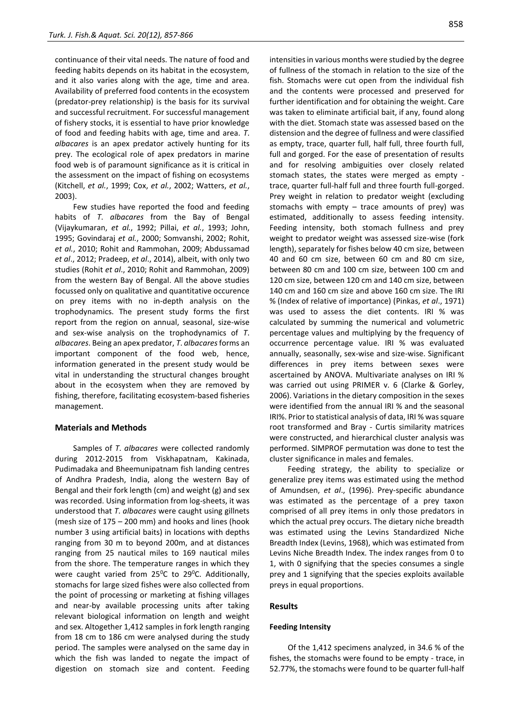continuance of their vital needs. The nature of food and feeding habits depends on its habitat in the ecosystem, and it also varies along with the age, time and area. Availability of preferred food contents in the ecosystem (predator-prey relationship) is the basis for its survival and successful recruitment. For successful management of fishery stocks, it is essential to have prior knowledge of food and feeding habits with age, time and area. *T*. *albacares* is an apex predator actively hunting for its prey. The ecological role of apex predators in marine food web is of paramount significance as it is critical in the assessment on the impact of fishing on ecosystems (Kitchell, *et al.*, 1999; Cox, *et al.*, 2002; Watters, *et al.*, 2003).

Few studies have reported the food and feeding habits of *T*. *albacares* from the Bay of Bengal (Vijaykumaran, *et al.*, 1992; Pillai, *et al.*, 1993; John, 1995; Govindaraj *et al.*, 2000; Somvanshi, 2002; Rohit, *et al.*, 2010; Rohit and Rammohan, 2009; Abdussamad *et al*., 2012; Pradeep, *et al*., 2014), albeit, with only two studies (Rohit *et al*., 2010; Rohit and Rammohan, 2009) from the western Bay of Bengal. All the above studies focussed only on qualitative and quantitative occurence on prey items with no in-depth analysis on the trophodynamics. The present study forms the first report from the region on annual, seasonal, size-wise and sex-wise analysis on the trophodynamics of *T*. *albacares*. Being an apex predator, *T*. *albacares*forms an important component of the food web, hence, information generated in the present study would be vital in understanding the structural changes brought about in the ecosystem when they are removed by fishing, therefore, facilitating ecosystem-based fisheries management.

# **Materials and Methods**

Samples of *T*. *albacares* were collected randomly during 2012-2015 from Viskhapatnam, Kakinada, Pudimadaka and Bheemunipatnam fish landing centres of Andhra Pradesh, India, along the western Bay of Bengal and their fork length (cm) and weight (g) and sex was recorded. Using information from log-sheets, it was understood that *T*. *albacares* were caught using gillnets (mesh size of 175 – 200 mm) and hooks and lines (hook number 3 using artificial baits) in locations with depths ranging from 30 m to beyond 200m, and at distances ranging from 25 nautical miles to 169 nautical miles from the shore. The temperature ranges in which they were caught varied from  $25^{\circ}$ C to  $29^{\circ}$ C. Additionally, stomachs for large sized fishes were also collected from the point of processing or marketing at fishing villages and near-by available processing units after taking relevant biological information on length and weight and sex. Altogether 1,412 samples in fork length ranging from 18 cm to 186 cm were analysed during the study period. The samples were analysed on the same day in which the fish was landed to negate the impact of digestion on stomach size and content. Feeding intensities in various months were studied by the degree of fullness of the stomach in relation to the size of the fish. Stomachs were cut open from the individual fish and the contents were processed and preserved for further identification and for obtaining the weight. Care was taken to eliminate artificial bait, if any, found along with the diet. Stomach state was assessed based on the distension and the degree of fullness and were classified as empty, trace, quarter full, half full, three fourth full, full and gorged. For the ease of presentation of results and for resolving ambiguities over closely related stomach states, the states were merged as empty trace, quarter full-half full and three fourth full-gorged. Prey weight in relation to predator weight (excluding stomachs with empty  $-$  trace amounts of prey) was estimated, additionally to assess feeding intensity. Feeding intensity, both stomach fullness and prey weight to predator weight was assessed size-wise (fork length), separately for fishes below 40 cm size, between 40 and 60 cm size, between 60 cm and 80 cm size, between 80 cm and 100 cm size, between 100 cm and 120 cm size, between 120 cm and 140 cm size, between 140 cm and 160 cm size and above 160 cm size. The IRI % (Index of relative of importance) (Pinkas, *et al*., 1971) was used to assess the diet contents. IRI % was calculated by summing the numerical and volumetric percentage values and multiplying by the frequency of occurrence percentage value. IRI % was evaluated annually, seasonally, sex-wise and size-wise. Significant differences in prey items between sexes were ascertained by ANOVA. Multivariate analyses on IRI % was carried out using PRIMER v. 6 (Clarke & Gorley, 2006). Variations in the dietary composition in the sexes were identified from the annual IRI % and the seasonal IRI%. Prior to statistical analysis of data, IRI % was square root transformed and Bray - Curtis similarity matrices were constructed, and hierarchical cluster analysis was performed. SIMPROF permutation was done to test the cluster significance in males and females.

Feeding strategy, the ability to specialize or generalize prey items was estimated using the method of Amundsen, *et al*., (1996). Prey-specific abundance was estimated as the percentage of a prey taxon comprised of all prey items in only those predators in which the actual prey occurs. The dietary niche breadth was estimated using the Levins Standardized Niche Breadth Index (Levins, 1968), which was estimated from Levins Niche Breadth Index. The index ranges from 0 to 1, with 0 signifying that the species consumes a single prey and 1 signifying that the species exploits available preys in equal proportions.

## **Results**

#### **Feeding Intensity**

Of the 1,412 specimens analyzed, in 34.6 % of the fishes, the stomachs were found to be empty - trace, in 52.77%, the stomachs were found to be quarter full-half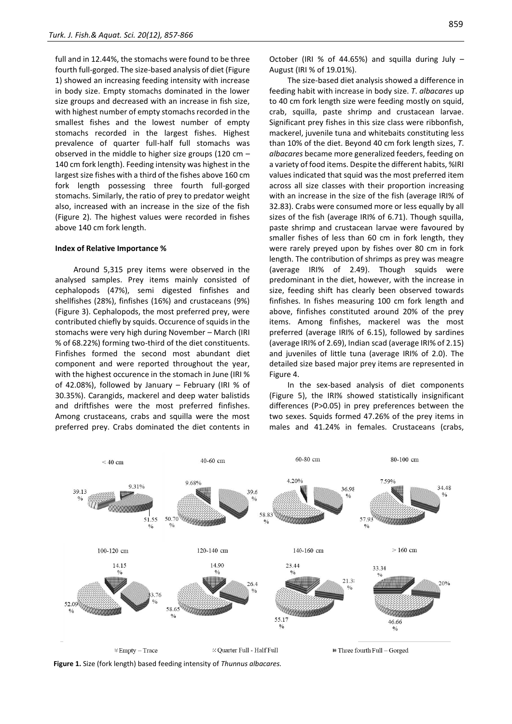full and in 12.44%, the stomachs were found to be three fourth full-gorged. The size-based analysis of diet (Figure 1) showed an increasing feeding intensity with increase in body size. Empty stomachs dominated in the lower size groups and decreased with an increase in fish size, with highest number of empty stomachs recorded in the smallest fishes and the lowest number of empty stomachs recorded in the largest fishes. Highest prevalence of quarter full-half full stomachs was observed in the middle to higher size groups (120 cm – 140 cm fork length). Feeding intensity was highest in the largest size fishes with a third of the fishes above 160 cm fork length possessing three fourth full-gorged stomachs. Similarly, the ratio of prey to predator weight also, increased with an increase in the size of the fish (Figure 2). The highest values were recorded in fishes above 140 cm fork length.

#### **Index of Relative Importance %**

Around 5,315 prey items were observed in the analysed samples. Prey items mainly consisted of cephalopods (47%), semi digested finfishes and shellfishes (28%), finfishes (16%) and crustaceans (9%) (Figure 3). Cephalopods, the most preferred prey, were contributed chiefly by squids. Occurence of squids in the stomachs were very high during November – March (IRI % of 68.22%) forming two-third of the diet constituents. Finfishes formed the second most abundant diet component and were reported throughout the year, with the highest occurence in the stomach in June (IRI % of 42.08%), followed by January – February (IRI % of 30.35%). Carangids, mackerel and deep water balistids and driftfishes were the most preferred finfishes. Among crustaceans, crabs and squilla were the most preferred prey. Crabs dominated the diet contents in

October (IRI % of 44.65%) and squilla during July – August (IRI % of 19.01%).

The size-based diet analysis showed a difference in feeding habit with increase in body size. *T*. *albacares* up to 40 cm fork length size were feeding mostly on squid, crab, squilla, paste shrimp and crustacean larvae. Significant prey fishes in this size class were ribbonfish, mackerel, juvenile tuna and whitebaits constituting less than 10% of the diet. Beyond 40 cm fork length sizes, *T*. *albacares* became more generalized feeders, feeding on a variety of food items. Despite the different habits, %IRI values indicated that squid was the most preferred item across all size classes with their proportion increasing with an increase in the size of the fish (average IRI% of 32.83). Crabs were consumed more or less equally by all sizes of the fish (average IRI% of 6.71). Though squilla, paste shrimp and crustacean larvae were favoured by smaller fishes of less than 60 cm in fork length, they were rarely preyed upon by fishes over 80 cm in fork length. The contribution of shrimps as prey was meagre (average IRI% of 2.49). Though squids were predominant in the diet, however, with the increase in size, feeding shift has clearly been observed towards finfishes. In fishes measuring 100 cm fork length and above, finfishes constituted around 20% of the prey items. Among finfishes, mackerel was the most preferred (average IRI% of 6.15), followed by sardines (average IRI% of 2.69), Indian scad (average IRI% of 2.15) and juveniles of little tuna (average IRI% of 2.0). The detailed size based major prey items are represented in Figure 4.

In the sex-based analysis of diet components (Figure 5), the IRI% showed statistically insignificant differences (P>0.05) in prey preferences between the two sexes. Squids formed 47.26% of the prey items in males and 41.24% in females. Crustaceans (crabs,



**Figure 1.** Size (fork length) based feeding intensity of *Thunnus albacares.*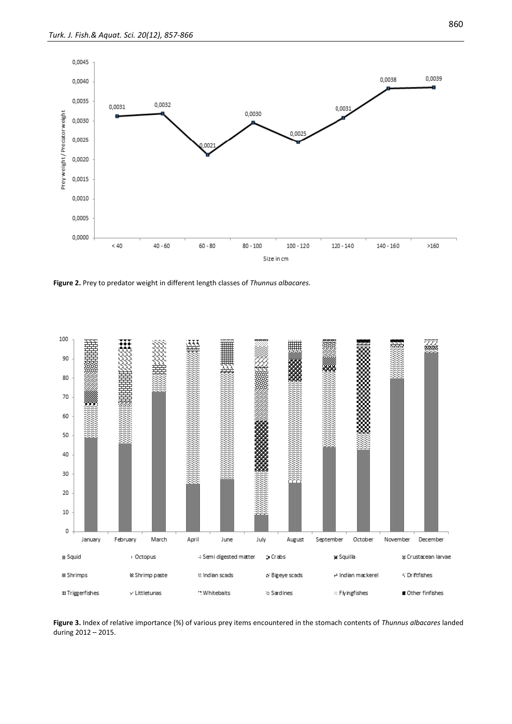

**Figure 2.** Prey to predator weight in different length classes of *Thunnus albacares.*



**Figure 3.** Index of relative importance (%) of various prey items encountered in the stomach contents of *Thunnus albacares* landed during 2012 – 2015.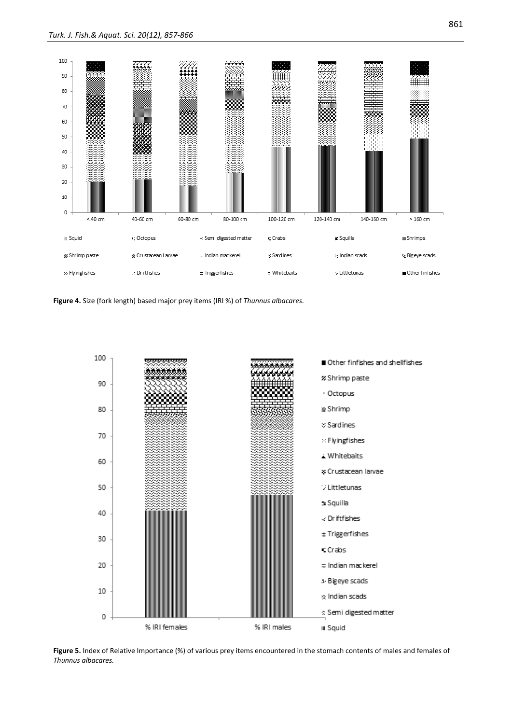

**Figure 4.** Size (fork length) based major prey items (IRI %) of *Thunnus albacares.*



**Figure 5.** Index of Relative Importance (%) of various prey items encountered in the stomach contents of males and females of *Thunnus albacares.*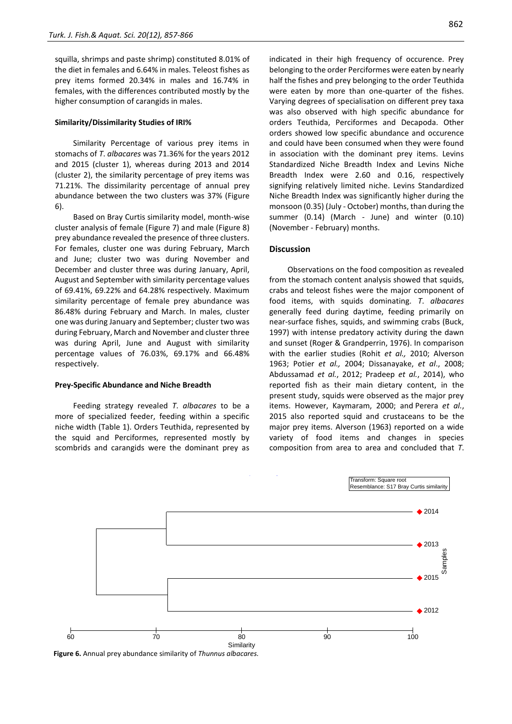squilla, shrimps and paste shrimp) constituted 8.01% of the diet in females and 6.64% in males. Teleost fishes as prey items formed 20.34% in males and 16.74% in females, with the differences contributed mostly by the higher consumption of carangids in males.

#### **Similarity/Dissimilarity Studies of IRI%**

Similarity Percentage of various prey items in stomachs of *T*. *albacares* was 71.36% for the years 2012 and 2015 (cluster 1), whereas during 2013 and 2014 (cluster 2), the similarity percentage of prey items was 71.21%. The dissimilarity percentage of annual prey abundance between the two clusters was 37% (Figure 6).

Based on Bray Curtis similarity model, month-wise cluster analysis of female (Figure 7) and male (Figure 8) prey abundance revealed the presence of three clusters. For females, cluster one was during February, March and June; cluster two was during November and December and cluster three was during January, April, August and September with similarity percentage values of 69.41%, 69.22% and 64.28% respectively. Maximum similarity percentage of female prey abundance was 86.48% during February and March. In males, cluster one was during January and September; cluster two was during February, March and November and cluster three was during April, June and August with similarity percentage values of 76.03%, 69.17% and 66.48% respectively.

#### **Prey-Specific Abundance and Niche Breadth**

Feeding strategy revealed *T*. *albacares* to be a more of specialized feeder, feeding within a specific niche width (Table 1). Orders Teuthida, represented by the squid and Perciformes, represented mostly by scombrids and carangids were the dominant prey as indicated in their high frequency of occurence. Prey belonging to the order Perciformes were eaten by nearly half the fishes and prey belonging to the order Teuthida were eaten by more than one-quarter of the fishes. Varying degrees of specialisation on different prey taxa was also observed with high specific abundance for orders Teuthida, Perciformes and Decapoda. Other orders showed low specific abundance and occurence and could have been consumed when they were found in association with the dominant prey items. Levins Standardized Niche Breadth Index and Levins Niche Breadth Index were 2.60 and 0.16, respectively signifying relatively limited niche. Levins Standardized Niche Breadth Index was significantly higher during the monsoon (0.35) (July - October) months, than during the summer (0.14) (March - June) and winter (0.10) (November - February) months.

## **Discussion**

Observations on the food composition as revealed from the stomach content analysis showed that squids. crabs and teleost fishes were the major component of food items, with squids dominating. *T*. *albacares* generally feed during daytime, feeding primarily on near-surface fishes, squids, and swimming crabs (Buck, 1997) with intense predatory activity during the dawn and sunset (Roger & Grandperrin, 1976). In comparison with the earlier studies (Rohit *et al.,* 2010; Alverson 1963; Potier *et al.,* 2004; Dissanayake, *et al*., 2008; Abdussamad *et al.*, 2012; Pradeep *et al.*, 2014), who reported fish as their main dietary content, in the present study, squids were observed as the major prey items. However, Kaymaram, 2000; and Perera *et al.*, 2015 also reported squid and crustaceans to be the major prey items. Alverson (1963) reported on a wide variety of food items and changes in species composition from area to area and concluded that *T*.



**Figure 6.** Annual prey abundance similarity of *Thunnus albacares.*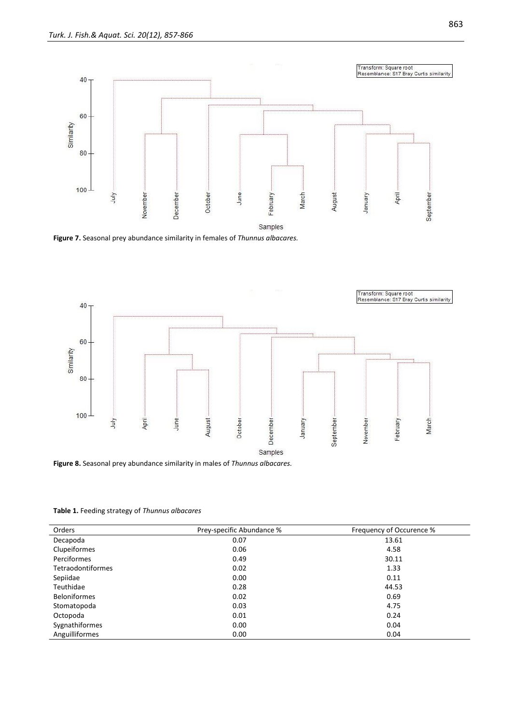

**Figure 7.** Seasonal prey abundance similarity in females of *Thunnus albacares.*



**Figure 8.** Seasonal prey abundance similarity in males of *Thunnus albacares.*

**Table 1.** Feeding strategy of *Thunnus albacares*

| Orders                   | Prey-specific Abundance % | Frequency of Occurence % |
|--------------------------|---------------------------|--------------------------|
| Decapoda                 | 0.07                      | 13.61                    |
| Clupeiformes             | 0.06                      | 4.58                     |
| Perciformes              | 0.49                      | 30.11                    |
| <b>Tetraodontiformes</b> | 0.02                      | 1.33                     |
| Sepiidae                 | 0.00                      | 0.11                     |
| Teuthidae                | 0.28                      | 44.53                    |
| <b>Beloniformes</b>      | 0.02                      | 0.69                     |
| Stomatopoda              | 0.03                      | 4.75                     |
| Octopoda                 | 0.01                      | 0.24                     |
| Sygnathiformes           | 0.00                      | 0.04                     |
| Anguilliformes           | 0.00                      | 0.04                     |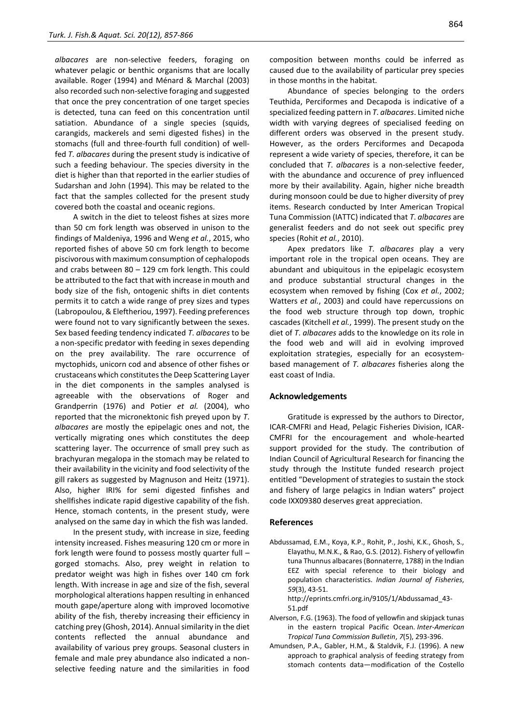*albacares* are non-selective feeders, foraging on whatever pelagic or benthic organisms that are locally available. Roger (1994) and Ménard & Marchal (2003) also recorded such non-selective foraging and suggested that once the prey concentration of one target species is detected, tuna can feed on this concentration until satiation. Abundance of a single species (squids, carangids, mackerels and semi digested fishes) in the stomachs (full and three-fourth full condition) of wellfed *T*. *albacares* during the present study is indicative of such a feeding behaviour. The species diversity in the diet is higher than that reported in the earlier studies of Sudarshan and John (1994). This may be related to the fact that the samples collected for the present study covered both the coastal and oceanic regions.

A switch in the diet to teleost fishes at sizes more than 50 cm fork length was observed in unison to the findings of Maldeniya, 1996 and Weng *et al.*, 2015, who reported fishes of above 50 cm fork length to become piscivorous with maximum consumption of cephalopods and crabs between 80 – 129 cm fork length. This could be attributed to the fact that with increase in mouth and body size of the fish, ontogenic shifts in diet contents permits it to catch a wide range of prey sizes and types (Labropoulou, & Eleftheriou, 1997). Feeding preferences were found not to vary significantly between the sexes. Sex based feeding tendency indicated *T*. *albacares* to be a non-specific predator with feeding in sexes depending on the prey availability. The rare occurrence of myctophids, unicorn cod and absence of other fishes or crustaceans which constitutes the Deep Scattering Layer in the diet components in the samples analysed is agreeable with the observations of Roger and Grandperrin (1976) and Potier *et al.* (2004), who reported that the micronektonic fish preyed upon by *T*. *albacares* are mostly the epipelagic ones and not, the vertically migrating ones which constitutes the deep scattering layer. The occurrence of small prey such as brachyuran megalopa in the stomach may be related to their availability in the vicinity and food selectivity of the gill rakers as suggested by Magnuson and Heitz (1971). Also, higher IRI% for semi digested finfishes and shellfishes indicate rapid digestive capability of the fish. Hence, stomach contents, in the present study, were analysed on the same day in which the fish was landed.

In the present study, with increase in size, feeding intensity increased. Fishes measuring 120 cm or more in fork length were found to possess mostly quarter full – gorged stomachs. Also, prey weight in relation to predator weight was high in fishes over 140 cm fork length. With increase in age and size of the fish, several morphological alterations happen resulting in enhanced mouth gape/aperture along with improved locomotive ability of the fish, thereby increasing their efficiency in catching prey (Ghosh, 2014). Annual similarity in the diet contents reflected the annual abundance and availability of various prey groups. Seasonal clusters in female and male prey abundance also indicated a nonselective feeding nature and the similarities in food composition between months could be inferred as caused due to the availability of particular prey species in those months in the habitat.

Abundance of species belonging to the orders Teuthida, Perciformes and Decapoda is indicative of a specialized feeding pattern in *T*. *albacares*. Limited niche width with varying degrees of specialised feeding on different orders was observed in the present study. However, as the orders Perciformes and Decapoda represent a wide variety of species, therefore, it can be concluded that *T*. *albacares* is a non-selective feeder, with the abundance and occurence of prey influenced more by their availability. Again, higher niche breadth during monsoon could be due to higher diversity of prey items. Research conducted by Inter American Tropical Tuna Commission (IATTC) indicated that *T*. *albacares* are generalist feeders and do not seek out specific prey species (Rohit *et al.*, 2010).

Apex predators like *T*. *albacares* play a very important role in the tropical open oceans. They are abundant and ubiquitous in the epipelagic ecosystem and produce substantial structural changes in the ecosystem when removed by fishing (Cox *et al.*, 2002; Watters *et al.*, 2003) and could have repercussions on the food web structure through top down, trophic cascades (Kitchell *et al.*, 1999). The present study on the diet of *T*. *albacares* adds to the knowledge on its role in the food web and will aid in evolving improved exploitation strategies, especially for an ecosystembased management of *T*. *albacares* fisheries along the east coast of India.

### **Acknowledgements**

Gratitude is expressed by the authors to Director, ICAR-CMFRI and Head, Pelagic Fisheries Division, ICAR-CMFRI for the encouragement and whole-hearted support provided for the study. The contribution of Indian Council of Agricultural Research for financing the study through the Institute funded research project entitled "Development of strategies to sustain the stock and fishery of large pelagics in Indian waters" project code IXX09380 deserves great appreciation.

#### **References**

Abdussamad, E.M., Koya, K.P., Rohit, P., Joshi, K.K., Ghosh, S., Elayathu, M.N.K., & Rao, G.S. (2012). Fishery of yellowfin tuna Thunnus albacares (Bonnaterre, 1788) in the Indian EEZ with special reference to their biology and population characteristics. *Indian Journal of Fisheries*, *59*(3), 43-51.

http://eprints.cmfri.org.in/9105/1/Abdussamad\_43- 51.pdf

- Alverson, F.G. (1963). The food of yellowfin and skipjack tunas in the eastern tropical Pacific Ocean. *Inter-American Tropical Tuna Commission Bulletin*, *7*(5), 293-396.
- Amundsen, P.A., Gabler, H.M., & Staldvik, F.J. (1996). A new approach to graphical analysis of feeding strategy from stomach contents data—modification of the Costello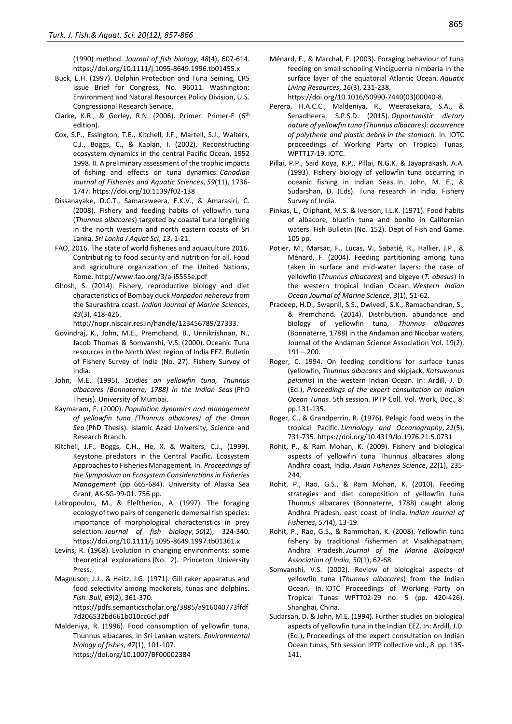(1990) method. *Journal of fish biology*, *48*(4), 607-614. https://doi.org/10.1111/j.1095-8649.1996.tb01455.x

- Buck, E.H. (1997). Dolphin Protection and Tuna Seining, CRS Issue Brief for Congress, No. 96011. Washington: Environment and Natural Resources Policy Division, U.S. Congressional Research Service.
- Clarke, K.R., & Gorley, R.N. (2006). Primer. Primer-E (6th edition).
- Cox, S.P., Essington, T.E., Kitchell, J.F., Martell, S.J., Walters, C.J., Boggs, C., & Kaplan, I. (2002). Reconstructing ecosystem dynamics in the central Pacific Ocean, 1952 1998. II. A preliminary assessment of the trophic impacts of fishing and effects on tuna dynamics. *Canadian Journal of Fisheries and Aquatic Sciences*, *59*(11), 1736- 1747. https://doi.org/10.1139/f02-138
- Dissanayake, D.C.T., Samaraweera, E.K.V., & Amarasiri, C. (2008). Fishery and feeding habits of yellowfin tuna (*Thunnus albacares*) targeted by coastal tuna longlining in the north western and north eastern coasts of Sri Lanka. *Sri Lanka J Aquat Sci*, *13*, 1-21.
- FAO, 2016. The state of world fisheries and aquaculture 2016. Contributing to food security and nutrition for all. Food and agriculture organization of the United Nations, Rome. http://www.fao.org/3/a-i5555e.pdf
- Ghosh, S. (2014). Fishery, reproductive biology and diet characteristics of Bombay duck *Harpadon nehereus*from the Saurashtra coast. *Indian Journal of Marine Sciences*, *43*(3), 418-426.

http://nopr.niscair.res.in/handle/123456789/27333.

- Govindraj, K., John, M.E., Premchand, B., Unnikrishnan, N., Jacob Thomas & Somvanshi, V.S. (2000). Oceanic Tuna resources in the North West region of India EEZ. Bulletin of Fishery Survey of India (No. 27). Fishery Survey of India.
- John, M.E. (1995). *Studies on yellowfin tuna, Thunnus albacares (Bonnaterre, 1788) in the Indian Seas* (PhD Thesis). University of Mumbai.
- Kaymaram, F. (2000). *Population dynamics and management of yellowfin tuna (Thunnus albacares) of the Oman Sea* (PhD Thesis). Islamic Azad University, Science and Research Branch.
- Kitchell, J.F., Boggs, C.H., He, X. & Walters, C.J., (1999). Keystone predators in the Central Pacific. Ecosystem Approaches to Fisheries Management. In. *Proceedings of the Symposium on Ecosystem Considerations in Fisheries Management* (pp 665-684). University of Alaska Sea Grant, AK-SG-99-01. 756 pp.
- Labropoulou, M., & Eleftheriou, A. (1997). The foraging ecology of two pairs of congeneric demersal fish species: importance of morphological characteristics in prey selection. *Journal of fish biology*, *50*(2), 324-340. https://doi.org/10.1111/j.1095-8649.1997.tb01361.x
- Levins, R. (1968). Evolution in changing environments: some theoretical explorations (No. 2). Princeton University Press.
- Magnuson, J.J., & Heitz, J.G. (1971). Gill raker apparatus and food selectivity among mackerels, tunas and dolphins. *Fish. Bull*, *69*(2), 361-370. https://pdfs.semanticscholar.org/3885/a916040773ffdf 7d206532bd661b010cc6cf.pdf
- Maldeniya, R. (1996). Food consumption of yellowfin tuna, Thunnus albacares, in Sri Lankan waters. *Environmental biology of fishes*, *47*(1), 101-107. https://doi.org/10.1007/BF00002384

Ménard, F., & Marchal, E. (2003). Foraging behaviour of tuna feeding on small schooling Vinciguerria nimbaria in the surface layer of the equatorial Atlantic Ocean. *Aquatic Living Resources*, *16*(3), 231-238.

https://doi.org/10.1016/S0990-7440(03)00040-8.

- Perera, H.A.C.C., Maldeniya, R., Weerasekara, S.A., & Senadheera, S.P.S.D. (2015). *Opportunistic dietary nature of yellowfin tuna (Thunnus albacares): occurrence of polythene and plastic debris in the stomach*. In. IOTC proceedings of Working Party on Tropical Tunas, WPTT17-19. IOTC.
- Pillai, P.P., Said Koya, K.P., Pillai, N.G.K. & Jayaprakash, A.A. (1993). Fishery biology of yellowfin tuna occurring in oceanic fishing in Indian Seas. In. John, M. E., & Sudarshan, D. (Eds). Tuna research in India. Fishery Survey of India.
- Pinkas, L., Oliphant, M.S. & Iverson, I.L.K. (1971). Food habits of albacore, bluefin tuna and bonito in Californian waters. Fish Bulletin (No. 152). Dept of Fish and Game. 105 pp.
- Potier, M., Marsac, F., Lucas, V., Sabatié, R., Hallier, J.P., & Ménard, F. (2004). Feeding partitioning among tuna taken in surface and mid-water layers: the case of yellowfin (*Thunnus albacares*) and bigeye (*T. obesus*) in the western tropical Indian Ocean. *Western Indian Ocean Journal of Marine Science*, *3*(1), 51-62.
- Pradeep, H.D., Swapnil, S.S., Dwivedi, S.K., Ramachandran, S., & Premchand. (2014). Distribution, abundance and biology of yellowfin tuna, *Thunnus albacares* (Bonnaterre, 1788) in the Andaman and Nicobar waters, Journal of the Andaman Science Association Vol. 19(2),  $191 - 200$ .
- Roger, C. 1994. On feeding conditions for surface tunas (yellowfin, *Thunnus albacares* and skipjack, *Katsuwonus pelamis*) in the western Indian Ocean. In: Ardill, J. D. (Ed.), *Proceedings of the expert consultation on Indian Ocean Tunas*. 5th session. IPTP Coll. Vol. Work, Doc., 8: pp.131-135.
- Roger, C., & Grandperrin, R. (1976). Pelagic food webs in the tropical Pacific. *Limnology and Oceanography*, *21*(5), 731-735. https://doi.org/10.4319/lo.1976.21.5.0731
- Rohit, P., & Ram Mohan, K. (2009). Fishery and biological aspects of yellowfin tuna Thunnus albacares along Andhra coast, India. *Asian Fisheries Science*, *22*(1), 235- 244.
- Rohit, P., Rao, G.S., & Ram Mohan, K. (2010). Feeding strategies and diet composition of yellowfin tuna Thunnus albacares (Bonnaterre, 1788) caught along Andhra Pradesh, east coast of India. *Indian Journal of Fisheries*, *57*(4), 13-19.
- Rohit, P., Rao, G.S., & Rammohan, K. (2008). Yellowfin tuna fishery by traditional fishermen at Visakhapatnam, Andhra Pradesh. *Journal of the Marine Biological Association of India*, *50*(1), 62-68.
- Somvanshi, V.S. (2002). Review of biological aspects of yellowfin tuna (*Thunnus albacares*) from the Indian Ocean. In. IOTC Proceedings of Working Party on Tropical Tunas WPTT02-29 no. 5 (pp. 420-426). Shanghai, China.
- Sudarsan, D. & John, M.E. (1994). Further studies on biological aspects of yellowfin tuna in the Indian EEZ. In: Ardill, J.D. (Ed.), Proceedings of the expert consultation on Indian Ocean tunas, 5th session IPTP collective vol., 8. pp. 135- 141.